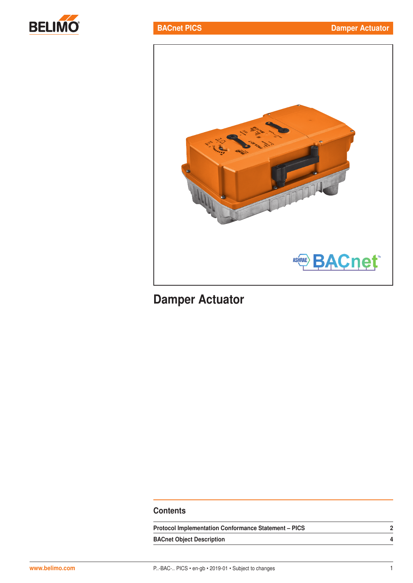



# Damper Actuator

## **Contents**

| <b>Protocol Implementation Conformance Statement - PICS</b> |  |  |
|-------------------------------------------------------------|--|--|
| <b>BACnet Object Description</b>                            |  |  |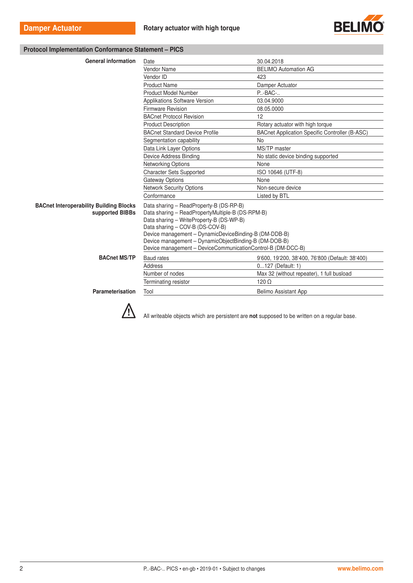

#### Protocol Implementation Conformance Statement – PICS

| <b>General information</b>                                        | Date                                                                                                                                                                                                                                                                                                                                                        | 30.04.2018                                            |
|-------------------------------------------------------------------|-------------------------------------------------------------------------------------------------------------------------------------------------------------------------------------------------------------------------------------------------------------------------------------------------------------------------------------------------------------|-------------------------------------------------------|
|                                                                   | Vendor Name                                                                                                                                                                                                                                                                                                                                                 | <b>BELIMO Automation AG</b>                           |
|                                                                   | Vendor ID                                                                                                                                                                                                                                                                                                                                                   | 423                                                   |
|                                                                   | <b>Product Name</b>                                                                                                                                                                                                                                                                                                                                         | Damper Actuator                                       |
|                                                                   | <b>Product Model Number</b>                                                                                                                                                                                                                                                                                                                                 | P-BAC-                                                |
|                                                                   | Applikations Software Version                                                                                                                                                                                                                                                                                                                               | 03.04.9000                                            |
|                                                                   | Firmware Revision                                                                                                                                                                                                                                                                                                                                           | 08.05.0000                                            |
|                                                                   | <b>BACnet Protocol Revision</b>                                                                                                                                                                                                                                                                                                                             | 12                                                    |
|                                                                   | <b>Product Description</b>                                                                                                                                                                                                                                                                                                                                  | Rotary actuator with high torque                      |
|                                                                   | <b>BACnet Standard Device Profile</b>                                                                                                                                                                                                                                                                                                                       | <b>BACnet Application Specific Controller (B-ASC)</b> |
|                                                                   | Segmentation capability                                                                                                                                                                                                                                                                                                                                     | <b>No</b>                                             |
|                                                                   | Data Link Layer Options                                                                                                                                                                                                                                                                                                                                     | MS/TP master                                          |
|                                                                   | Device Address Binding                                                                                                                                                                                                                                                                                                                                      | No static device binding supported                    |
|                                                                   | Networking Options                                                                                                                                                                                                                                                                                                                                          | None                                                  |
|                                                                   | <b>Character Sets Supported</b>                                                                                                                                                                                                                                                                                                                             | ISO 10646 (UTF-8)                                     |
|                                                                   | <b>Gateway Options</b>                                                                                                                                                                                                                                                                                                                                      | None                                                  |
|                                                                   | <b>Network Security Options</b>                                                                                                                                                                                                                                                                                                                             | Non-secure device                                     |
|                                                                   | Conformance                                                                                                                                                                                                                                                                                                                                                 | Listed by BTL                                         |
| <b>BACnet Interoperability Building Blocks</b><br>supported BIBBs | Data sharing - ReadProperty-B (DS-RP-B)<br>Data sharing - ReadPropertyMultiple-B (DS-RPM-B)<br>Data sharing - WriteProperty-B (DS-WP-B)<br>Data sharing - COV-B (DS-COV-B)<br>Device management - DynamicDeviceBinding-B (DM-DDB-B)<br>Device management - DynamicObjectBinding-B (DM-DOB-B)<br>Device management - DeviceCommunicationControl-B (DM-DCC-B) |                                                       |
| <b>BACnet MS/TP</b>                                               | <b>Baud</b> rates                                                                                                                                                                                                                                                                                                                                           | 9'600, 19'200, 38'400, 76'800 (Default: 38'400)       |
|                                                                   | <b>Address</b>                                                                                                                                                                                                                                                                                                                                              | 0127 (Default: 1)                                     |
|                                                                   | Number of nodes                                                                                                                                                                                                                                                                                                                                             | Max 32 (without repeater), 1 full busload             |
|                                                                   | Terminating resistor                                                                                                                                                                                                                                                                                                                                        | $120 \Omega$                                          |
| Parameterisation                                                  | Tool                                                                                                                                                                                                                                                                                                                                                        | <b>Belimo Assistant App</b>                           |



All writeable objects which are persistent are not supposed to be written on a regular base.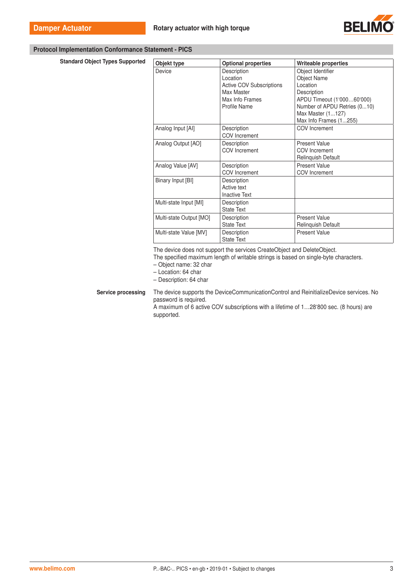

#### Protocol Implementation Conformance Statement - PICS

Standard Object Types Supported

| Objekt type             | <b>Optional properties</b>      | Writeable properties         |
|-------------------------|---------------------------------|------------------------------|
| Device                  | Description                     | Object Identifier            |
|                         | Location                        | <b>Object Name</b>           |
|                         | <b>Active COV Subscriptions</b> | Location                     |
|                         | Max Master                      | Description                  |
|                         | Max Info Frames                 | APDU Timeout (1'00060'000)   |
|                         | Profile Name                    | Number of APDU Retries (010) |
|                         |                                 | Max Master (1127)            |
|                         |                                 | Max Info Frames (1255)       |
| Analog Input [AI]       | Description                     | <b>COV</b> Increment         |
|                         | <b>COV</b> Increment            |                              |
| Analog Output [AO]      | Description                     | <b>Present Value</b>         |
|                         | COV Increment                   | COV Increment                |
|                         |                                 | <b>Relinquish Default</b>    |
| Analog Value [AV]       | Description                     | <b>Present Value</b>         |
|                         | <b>COV</b> Increment            | COV Increment                |
| Binary Input [BI]       | Description                     |                              |
|                         | Active text                     |                              |
|                         | <b>Inactive Text</b>            |                              |
| Multi-state Input [MI]  | Description                     |                              |
|                         | <b>State Text</b>               |                              |
| Multi-state Output [MO] | Description                     | <b>Present Value</b>         |
|                         | <b>State Text</b>               | Relinquish Default           |
| Multi-state Value [MV]  | Description                     | <b>Present Value</b>         |
|                         | <b>State Text</b>               |                              |

The device does not support the services CreateObject and DeleteObject.

The specified maximum length of writable strings is based on single-byte characters.

– Object name: 32 char

– Location: 64 char

– Description: 64 char

Service processing The device supports the DeviceCommunicationControl and ReinitializeDevice services. No password is required.

A maximum of 6 active COV subscriptions with a lifetime of 1…28'800 sec. (8 hours) are supported.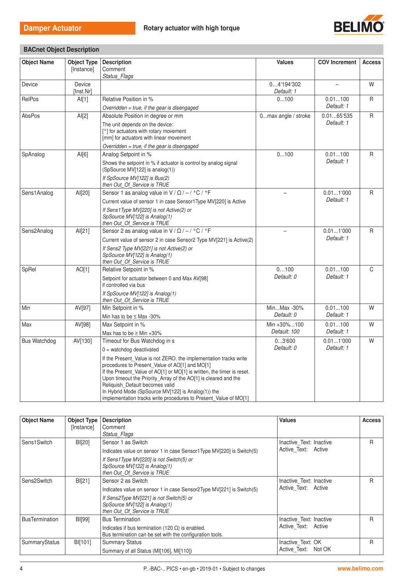

BACnet Object Description

| <b>Object Name</b>  | <b>Object Type</b><br>[Instance] | <b>Description</b><br>Comment                                                                                            | <b>Values</b>            | <b>COV Increment</b>  | <b>Access</b> |
|---------------------|----------------------------------|--------------------------------------------------------------------------------------------------------------------------|--------------------------|-----------------------|---------------|
|                     |                                  | Status Flags                                                                                                             |                          |                       |               |
| Device              | Device<br>[Inst.Nr]              |                                                                                                                          | 04'194'302<br>Default: 1 |                       | W             |
| RelPos              | Al[1]                            | Relative Position in %                                                                                                   | 0100                     | 0.01100               | R             |
|                     |                                  | Overridden = true, if the gear is disengaged                                                                             |                          | Default: 1            |               |
| AbsPos              | AI[2]                            | Absolute Position in degree or mm                                                                                        | 0max angle / stroke      | 0.0165:535            | R             |
|                     |                                  | The unit depends on the device:<br>[°] for actuators with rotary movement<br>[mm] for actuators with linear movement     |                          | Default: 1            |               |
|                     |                                  | Overridden = true, if the gear is disengaged                                                                             |                          |                       |               |
| SpAnalog            | AI[6]                            | Analog Setpoint in %                                                                                                     | 0100                     | 0.01100<br>Default: 1 | R             |
|                     |                                  | Shows the setpoint in % if actuator is control by analog signal<br>(SpSource MV[122] is analog(1))                       |                          |                       |               |
|                     |                                  | If SpSource MV[122] is Bus(2)<br>then Out Of Service is TRUE                                                             |                          |                       |               |
| Sens1Analog         | AI[20]                           | Sensor 1 as analog value in $V / \Omega / - / C$ °F                                                                      |                          | 0.011'000             | R             |
|                     |                                  | Current value of sensor 1 in case Sensor1Type MV[220] is Active                                                          |                          | Default: 1            |               |
|                     |                                  | If Sens1Type MV[220] is not Active(2) or<br>SpSource MV[122] is Analog(1)<br>then Out_Of_Service is TRUE                 |                          |                       |               |
| Sens2Analog         | AI[21]                           | Sensor 2 as analog value in V / $\Omega$ / - / °C / °F                                                                   | $\overline{\phantom{0}}$ | 0.011'000             | R             |
|                     |                                  | Current value of sensor 2 in case Sensor2 Type MV[221] is Active(2)                                                      |                          | Default: 1            |               |
|                     |                                  | If Sens2 Type MV[221] is not Active(2) or<br>SpSource MV[122] is Analog(1)<br>then Out_Of_Service is TRUE                |                          |                       |               |
| SpRel               | AO[1]                            | Relative Setpoint in %                                                                                                   | 0100                     | 0.01100               | C             |
|                     |                                  | Setpoint for actuator between 0 and Max AV[98]<br>if controlled via bus                                                  | Default: 0               | Default: 1            |               |
|                     |                                  | If SpSource MV[122] is Analog(1)<br>then Out Of Service is TRUE                                                          |                          |                       |               |
| Min                 | AV[97]                           | Min Setpoint in %                                                                                                        | MinMax -30%              | 0.01100               | W             |
|                     |                                  | Min has to be $\leq$ Max -30%                                                                                            | Default: 0               | Default: 1            |               |
| Max                 | AV[98]                           | Max Setpoint in %                                                                                                        | Min +30%100              | 0.01100               | W             |
|                     |                                  | Max has to be $\geq$ Min +30%                                                                                            | Default: 100             | Default: 1            |               |
| <b>Bus Watchdog</b> | AV[130]                          | Timeout for Bus Watchdog in s                                                                                            | 03'600                   | 0.011'000             | W             |
|                     |                                  | $0 =$ watchdog deactivated                                                                                               | Default: 0               | Default: 1            |               |
|                     |                                  | If the Present Value is not ZERO, the implementation tracks write                                                        |                          |                       |               |
|                     |                                  | procedures to Present Value of AO[1] and MO[1]<br>If the Present_Value of AO[1] or MO[1] is written, the timer is reset. |                          |                       |               |
|                     |                                  | Upon timeout the Priority Array of the AO[1] is cleared and the<br>Reliquish Default becomes valid                       |                          |                       |               |
|                     |                                  | In Hybrid Mode (SpSource MV[122] is Analog(1)) the<br>implementation tracks write procedures to Present_Value of MO[1]   |                          |                       |               |

| <b>Object Name</b>    | <b>Object Type</b><br>[Instance] | <b>Description</b><br>Comment<br>Status Flags                                                                                                                                                          | <b>Values</b>                                  | <b>Access</b> |
|-----------------------|----------------------------------|--------------------------------------------------------------------------------------------------------------------------------------------------------------------------------------------------------|------------------------------------------------|---------------|
| Sens1Switch           | BI[20]                           | Sensor 1 as Switch<br>Indicates value on sensor 1 in case Sensor1Type MV[220] is Switch(5)<br>If Sens1Type MV[220] is not Switch(5) or<br>SpSource MV[122] is Analog(1)<br>then Out Of Service is TRUE | Inactive Text: Inactive<br>Active Text: Active | R             |
| Sens2Switch           | BI[21]                           | Sensor 2 as Switch<br>Indicates value on sensor 1 in case Sensor2Type MV[221] is Switch(5)<br>If Sens2Type MV[221] is not Switch(5) or<br>SpSource MV[122] is Analog(1)<br>then Out Of Service is TRUE | Inactive Text: Inactive<br>Active Text: Active | R             |
| <b>BusTermination</b> | <b>BI[99]</b>                    | <b>Bus Termination</b><br>Indicates if bus termination (120 $\Omega$ ) is enabled.<br>Bus termination can be set with the configuration tools.                                                         | Inactive Text: Inactive<br>Active Text: Active | R             |
| SummaryStatus         | BI[101]                          | <b>Summary Status</b><br>Summary of all Status (MI[106], MI[110])                                                                                                                                      | Inactive Text: OK<br>Active Text: Not OK       | R             |